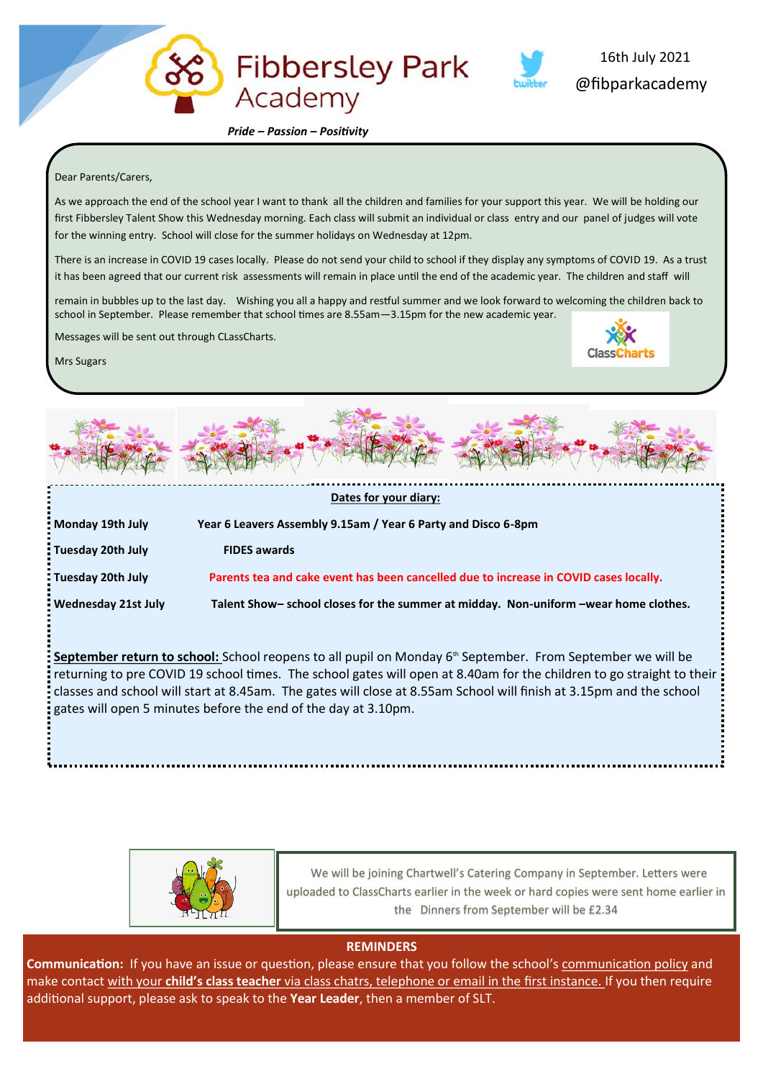

 *Pride – Passion – Positivity*

## Dear Parents/Carers,

As we approach the end of the school year I want to thank all the children and families for your support this year. We will be holding our first Fibbersley Talent Show this Wednesday morning. Each class will submit an individual or class entry and our panel of judges will vote for the winning entry. School will close for the summer holidays on Wednesday at 12pm.

**Fibbersley Park** 

There is an increase in COVID 19 cases locally. Please do not send your child to school if they display any symptoms of COVID 19. As a trust it has been agreed that our current risk assessments will remain in place until the end of the academic year. The children and staff will

remain in bubbles up to the last day. Wishing you all a happy and restful summer and we look forward to welcoming the children back to school in September. Please remember that school times are 8.55am—3.15pm for the new academic year.

Messages will be sent out through CLassCharts.



@fibparkacademy

16th July 2021

Mrs Sugars



| Monday 19th July    | Year 6 Leavers Assembly 9.15am / Year 6 Party and Disco 6-8pm                         |
|---------------------|---------------------------------------------------------------------------------------|
| : Tuesday 20th July | <b>FIDES awards</b>                                                                   |
| Tuesday 20th July   | Parents tea and cake event has been cancelled due to increase in COVID cases locally. |
| Wednesday 21st July | Talent Show- school closes for the summer at midday. Non-uniform -wear home clothes.  |

September return to school: School reopens to all pupil on Monday 6<sup>th</sup> September. From September we will be returning to pre COVID 19 school times. The school gates will open at 8.40am for the children to go straight to their classes and school will start at 8.45am. The gates will close at 8.55am School will finish at 3.15pm and the school gates will open 5 minutes before the end of the day at 3.10pm.



 We will be joining Chartwell's Catering Company in September. Letters were uploaded to ClassCharts earlier in the week or hard copies were sent home earlier in the Dinners from September will be £2.34

## **REMINDERS**

**Communication:** If you have an issue or question, please ensure that you follow the school's communication policy and make contact with your **child's class teacher** via class chatrs, telephone or email in the first instance. If you then require additional support, please ask to speak to the **Year Leader**, then a member of SLT.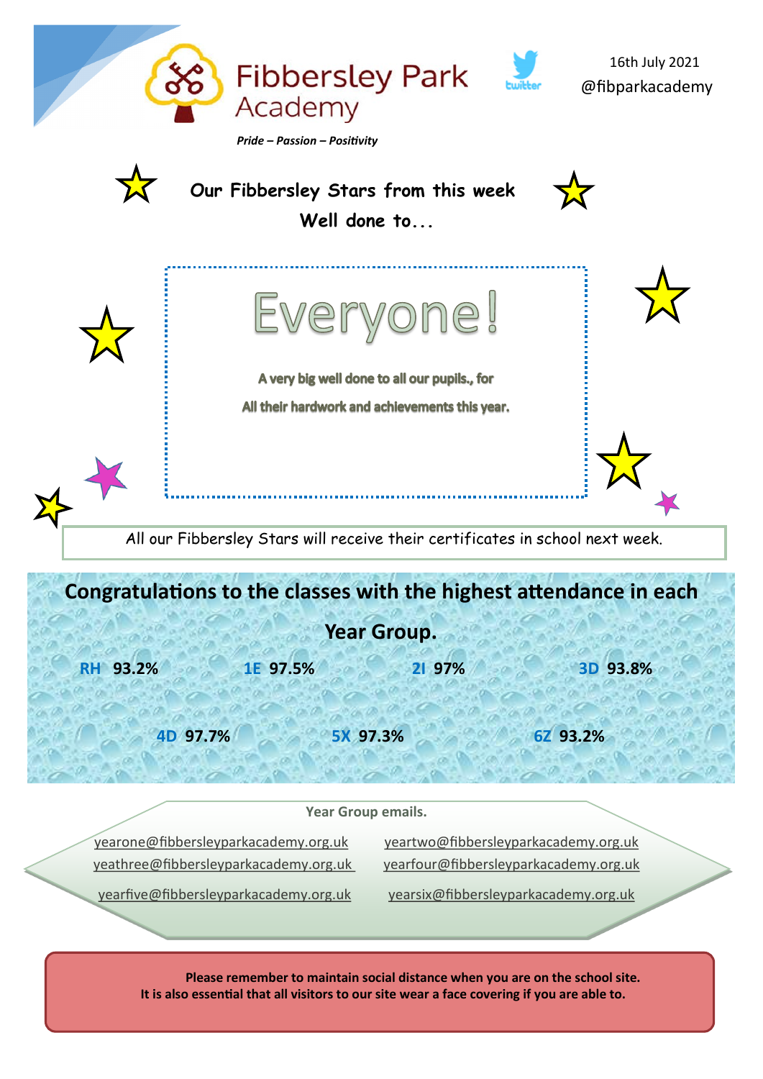

[yearfive@fibbersleyparkacademy.org.uk](mailto:yearfive@fibbersleyparkacademy.org.uk) [yearsix@fibbersleyparkacademy.org.uk](mailto:yearsix@fibbersleyparkacademy.org.uk)

 **Please remember to maintain social distance when you are on the school site. It is also essential that all visitors to our site wear a face covering if you are able to.**